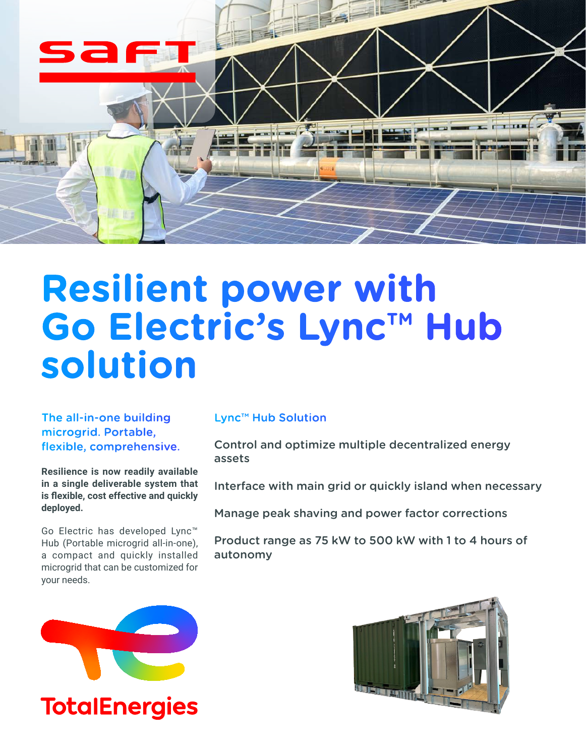

# **Resilient power with Go Electric's Lync™ Hub solution**

The all-in-one building microgrid. Portable, flexible, comprehensive.

**Resilience is now readily available in a single deliverable system that is flexible, cost effective and quickly deployed.**

Go Electric has developed Lync™ Hub (Portable microgrid all-in-one), a compact and quickly installed microgrid that can be customized for your needs.

# Lync™ Hub Solution

Control and optimize multiple decentralized energy assets

Interface with main grid or quickly island when necessary

Manage peak shaving and power factor corrections

Product range as 75 kW to 500 kW with 1 to 4 hours of autonomy